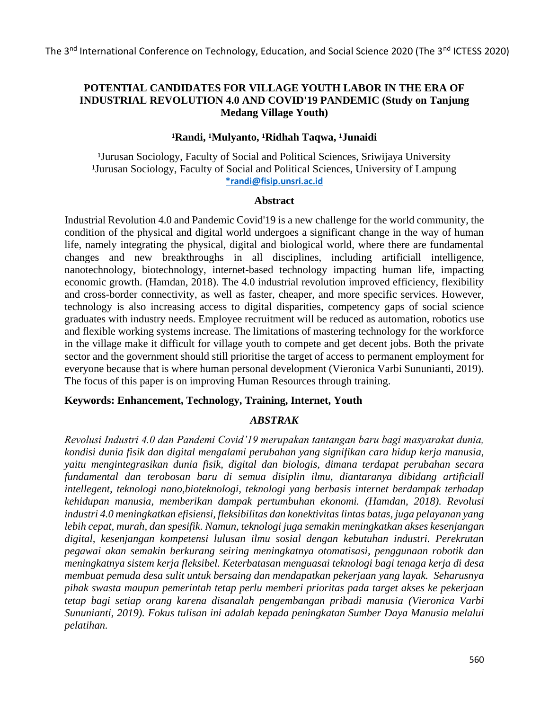# **POTENTIAL CANDIDATES FOR VILLAGE YOUTH LABOR IN THE ERA OF INDUSTRIAL REVOLUTION 4.0 AND COVID'19 PANDEMIC (Study on Tanjung Medang Village Youth)**

## **¹Randi, ¹Mulyanto, ¹Ridhah Taqwa, ¹Junaidi**

<sup>1</sup>Jurusan Sociology, Faculty of Social and Political Sciences, Sriwijaya University <sup>1</sup>Jurusan Sociology, Faculty of Social and Political Sciences, University of Lampung **[\\*randi@fisip.unsri.ac.id](mailto:*randi@fisip.unsri.ac.id)**

#### **Abstract**

Industrial Revolution 4.0 and Pandemic Covid'19 is a new challenge for the world community, the condition of the physical and digital world undergoes a significant change in the way of human life, namely integrating the physical, digital and biological world, where there are fundamental changes and new breakthroughs in all disciplines, including artificiall intelligence, nanotechnology, biotechnology, internet-based technology impacting human life, impacting economic growth. (Hamdan, 2018). The 4.0 industrial revolution improved efficiency, flexibility and cross-border connectivity, as well as faster, cheaper, and more specific services. However, technology is also increasing access to digital disparities, competency gaps of social science graduates with industry needs. Employee recruitment will be reduced as automation, robotics use and flexible working systems increase. The limitations of mastering technology for the workforce in the village make it difficult for village youth to compete and get decent jobs. Both the private sector and the government should still prioritise the target of access to permanent employment for everyone because that is where human personal development (Vieronica Varbi Sununianti, 2019). The focus of this paper is on improving Human Resources through training.

# **Keywords: Enhancement, Technology, Training, Internet, Youth**

#### *ABSTRAK*

*Revolusi Industri 4.0 dan Pandemi Covid'19 merupakan tantangan baru bagi masyarakat dunia, kondisi dunia fisik dan digital mengalami perubahan yang signifikan cara hidup kerja manusia, yaitu mengintegrasikan dunia fisik, digital dan biologis, dimana terdapat perubahan secara fundamental dan terobosan baru di semua disiplin ilmu, diantaranya dibidang artificiall intellegent, teknologi nano,bioteknologi, teknologi yang berbasis internet berdampak terhadap kehidupan manusia, memberikan dampak pertumbuhan ekonomi. (Hamdan, 2018). Revolusi industri 4.0 meningkatkan efisiensi, fleksibilitas dan konektivitas lintas batas, juga pelayanan yang lebih cepat, murah, dan spesifik. Namun, teknologi juga semakin meningkatkan akses kesenjangan digital, kesenjangan kompetensi lulusan ilmu sosial dengan kebutuhan industri. Perekrutan pegawai akan semakin berkurang seiring meningkatnya otomatisasi, penggunaan robotik dan meningkatnya sistem kerja fleksibel. Keterbatasan menguasai teknologi bagi tenaga kerja di desa membuat pemuda desa sulit untuk bersaing dan mendapatkan pekerjaan yang layak. Seharusnya pihak swasta maupun pemerintah tetap perlu memberi prioritas pada target akses ke pekerjaan tetap bagi setiap orang karena disanalah pengembangan pribadi manusia (Vieronica Varbi Sununianti, 2019). Fokus tulisan ini adalah kepada peningkatan Sumber Daya Manusia melalui pelatihan.*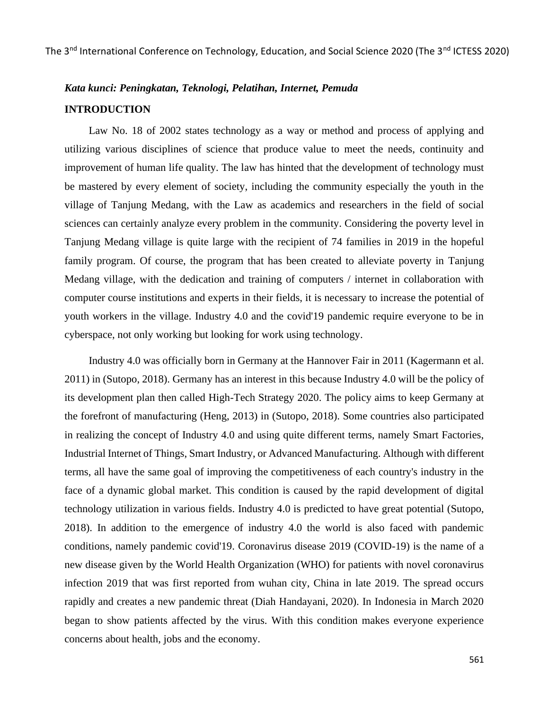# *Kata kunci: Peningkatan, Teknologi, Pelatihan, Internet, Pemuda* **INTRODUCTION**

Law No. 18 of 2002 states technology as a way or method and process of applying and utilizing various disciplines of science that produce value to meet the needs, continuity and improvement of human life quality. The law has hinted that the development of technology must be mastered by every element of society, including the community especially the youth in the village of Tanjung Medang, with the Law as academics and researchers in the field of social sciences can certainly analyze every problem in the community. Considering the poverty level in Tanjung Medang village is quite large with the recipient of 74 families in 2019 in the hopeful family program. Of course, the program that has been created to alleviate poverty in Tanjung Medang village, with the dedication and training of computers / internet in collaboration with computer course institutions and experts in their fields, it is necessary to increase the potential of youth workers in the village. Industry 4.0 and the covid'19 pandemic require everyone to be in cyberspace, not only working but looking for work using technology.

Industry 4.0 was officially born in Germany at the Hannover Fair in 2011 (Kagermann et al. 2011) in (Sutopo, 2018). Germany has an interest in this because Industry 4.0 will be the policy of its development plan then called High-Tech Strategy 2020. The policy aims to keep Germany at the forefront of manufacturing (Heng, 2013) in (Sutopo, 2018). Some countries also participated in realizing the concept of Industry 4.0 and using quite different terms, namely Smart Factories, Industrial Internet of Things, Smart Industry, or Advanced Manufacturing. Although with different terms, all have the same goal of improving the competitiveness of each country's industry in the face of a dynamic global market. This condition is caused by the rapid development of digital technology utilization in various fields. Industry 4.0 is predicted to have great potential (Sutopo, 2018). In addition to the emergence of industry 4.0 the world is also faced with pandemic conditions, namely pandemic covid'19. Coronavirus disease 2019 (COVID-19) is the name of a new disease given by the World Health Organization (WHO) for patients with novel coronavirus infection 2019 that was first reported from wuhan city, China in late 2019. The spread occurs rapidly and creates a new pandemic threat (Diah Handayani, 2020). In Indonesia in March 2020 began to show patients affected by the virus. With this condition makes everyone experience concerns about health, jobs and the economy.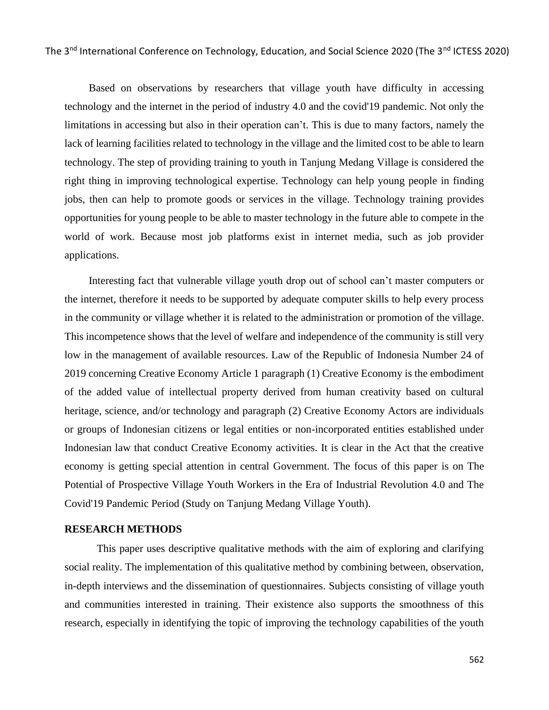Based on observations by researchers that village youth have difficulty in accessing technology and the internet in the period of industry 4.0 and the covid'19 pandemic. Not only the limitations in accessing but also in their operation can't. This is due to many factors, namely the lack of learning facilities related to technology in the village and the limited cost to be able to learn technology. The step of providing training to youth in Tanjung Medang Village is considered the right thing in improving technological expertise. Technology can help young people in finding jobs, then can help to promote goods or services in the village. Technology training provides opportunities for young people to be able to master technology in the future able to compete in the world of work. Because most job platforms exist in internet media, such as job provider applications.

Interesting fact that vulnerable village youth drop out of school can't master computers or the internet, therefore it needs to be supported by adequate computer skills to help every process in the community or village whether it is related to the administration or promotion of the village. This incompetence shows that the level of welfare and independence of the community is still very low in the management of available resources. Law of the Republic of Indonesia Number 24 of 2019 concerning Creative Economy Article 1 paragraph (1) Creative Economy is the embodiment of the added value of intellectual property derived from human creativity based on cultural heritage, science, and/or technology and paragraph (2) Creative Economy Actors are individuals or groups of Indonesian citizens or legal entities or non-incorporated entities established under Indonesian law that conduct Creative Economy activities. It is clear in the Act that the creative economy is getting special attention in central Government. The focus of this paper is on The Potential of Prospective Village Youth Workers in the Era of Industrial Revolution 4.0 and The Covid'19 Pandemic Period (Study on Tanjung Medang Village Youth).

#### **RESEARCH METHODS**

This paper uses descriptive qualitative methods with the aim of exploring and clarifying social reality. The implementation of this qualitative method by combining between, observation, in-depth interviews and the dissemination of questionnaires. Subjects consisting of village youth and communities interested in training. Their existence also supports the smoothness of this research, especially in identifying the topic of improving the technology capabilities of the youth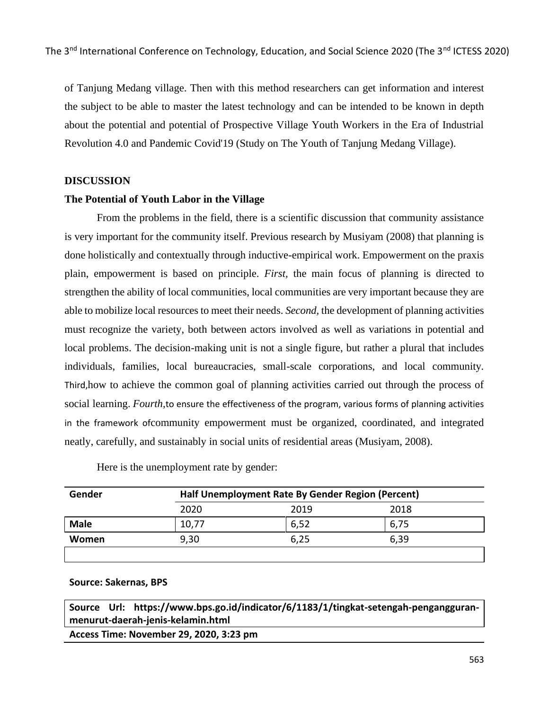of Tanjung Medang village. Then with this method researchers can get information and interest the subject to be able to master the latest technology and can be intended to be known in depth about the potential and potential of Prospective Village Youth Workers in the Era of Industrial Revolution 4.0 and Pandemic Covid'19 (Study on The Youth of Tanjung Medang Village).

#### **DISCUSSION**

#### **The Potential of Youth Labor in the Village**

From the problems in the field, there is a scientific discussion that community assistance is very important for the community itself. Previous research by Musiyam (2008) that planning is done holistically and contextually through inductive-empirical work. Empowerment on the praxis plain, empowerment is based on principle. *First,* the main focus of planning is directed to strengthen the ability of local communities, local communities are very important because they are able to mobilize local resources to meet their needs. *Second,* the development of planning activities must recognize the variety, both between actors involved as well as variations in potential and local problems. The decision-making unit is not a single figure, but rather a plural that includes individuals, families, local bureaucracies, small-scale corporations, and local community*.* Third,how to achieve the common goal of planning activities carried out through the process of social learning. *Fourth,*to ensure the effectiveness of the program, various forms of planning activities in the framework ofcommunity empowerment must be organized, coordinated, and integrated neatly, carefully, and sustainably in social units of residential areas (Musiyam, 2008).

| Gender      | Half Unemployment Rate By Gender Region (Percent) |      |      |  |
|-------------|---------------------------------------------------|------|------|--|
|             | 2020                                              | 2019 | 2018 |  |
| <b>Male</b> | 10,77                                             | 6,52 | 6,75 |  |
| Women       | 9,30                                              | 6,25 | 6,39 |  |
|             |                                                   |      |      |  |

Here is the unemployment rate by gender:

**Source: Sakernas, BPS**

**Source Url: https://www.bps.go.id/indicator/6/1183/1/tingkat-setengah-pengangguranmenurut-daerah-jenis-kelamin.html**

**Access Time: November 29, 2020, 3:23 pm**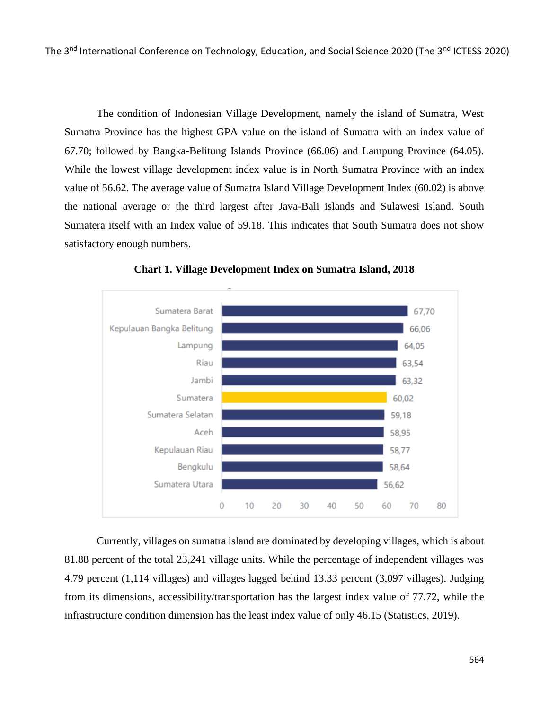The condition of Indonesian Village Development, namely the island of Sumatra, West Sumatra Province has the highest GPA value on the island of Sumatra with an index value of 67.70; followed by Bangka-Belitung Islands Province (66.06) and Lampung Province (64.05). While the lowest village development index value is in North Sumatra Province with an index value of 56.62. The average value of Sumatra Island Village Development Index (60.02) is above the national average or the third largest after Java-Bali islands and Sulawesi Island. South Sumatera itself with an Index value of 59.18. This indicates that South Sumatra does not show satisfactory enough numbers.



**Chart 1. Village Development Index on Sumatra Island, 2018**

Currently, villages on sumatra island are dominated by developing villages, which is about 81.88 percent of the total 23,241 village units. While the percentage of independent villages was 4.79 percent (1,114 villages) and villages lagged behind 13.33 percent (3,097 villages). Judging from its dimensions, accessibility/transportation has the largest index value of 77.72, while the infrastructure condition dimension has the least index value of only 46.15 (Statistics, 2019).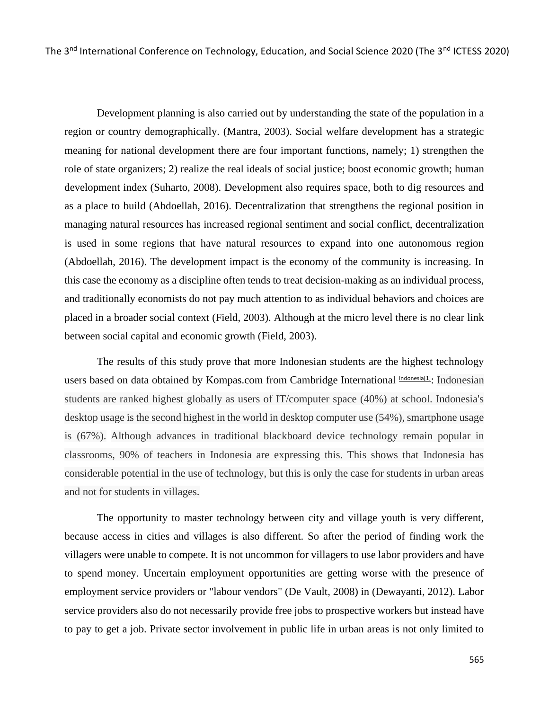Development planning is also carried out by understanding the state of the population in a region or country demographically. (Mantra, 2003). Social welfare development has a strategic meaning for national development there are four important functions, namely; 1) strengthen the role of state organizers; 2) realize the real ideals of social justice; boost economic growth; human development index (Suharto, 2008). Development also requires space, both to dig resources and as a place to build (Abdoellah, 2016). Decentralization that strengthens the regional position in managing natural resources has increased regional sentiment and social conflict, decentralization is used in some regions that have natural resources to expand into one autonomous region (Abdoellah, 2016). The development impact is the economy of the community is increasing. In this case the economy as a discipline often tends to treat decision-making as an individual process, and traditionally economists do not pay much attention to as individual behaviors and choices are placed in a broader social context (Field, 2003). Although at the micro level there is no clear link between social capital and economic growth (Field, 2003).

The results of this study prove that more Indonesian students are the highest technology users based on data obtained by Kompas.com from Cambridge International *Indonesia*<sup>[1]</sup>: Indonesian students are ranked highest globally as users of IT/computer space (40%) at school. Indonesia's desktop usage is the second highest in the world in desktop computer use (54%), smartphone usage is (67%). Although advances in traditional blackboard device technology remain popular in classrooms, 90% of teachers in Indonesia are expressing this. This shows that Indonesia has considerable potential in the use of technology, but this is only the case for students in urban areas and not for students in villages.

The opportunity to master technology between city and village youth is very different, because access in cities and villages is also different. So after the period of finding work the villagers were unable to compete. It is not uncommon for villagers to use labor providers and have to spend money. Uncertain employment opportunities are getting worse with the presence of employment service providers or "labour vendors" (De Vault, 2008) in (Dewayanti, 2012). Labor service providers also do not necessarily provide free jobs to prospective workers but instead have to pay to get a job. Private sector involvement in public life in urban areas is not only limited to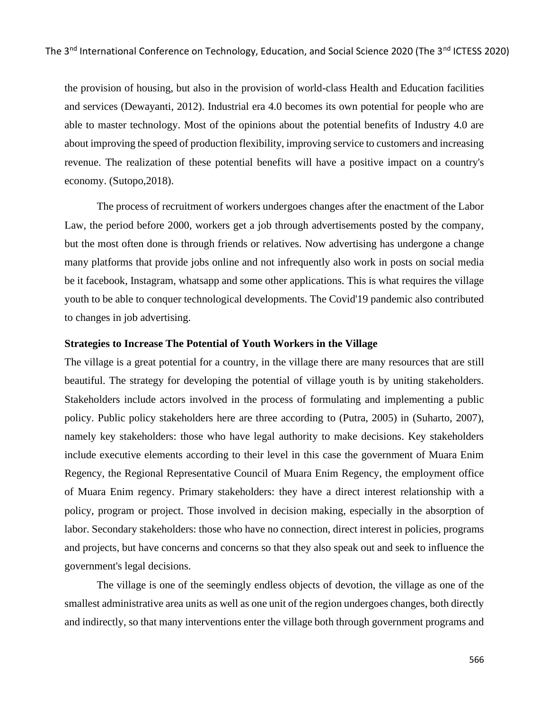the provision of housing, but also in the provision of world-class Health and Education facilities and services (Dewayanti, 2012). Industrial era 4.0 becomes its own potential for people who are able to master technology. Most of the opinions about the potential benefits of Industry 4.0 are about improving the speed of production flexibility, improving service to customers and increasing revenue. The realization of these potential benefits will have a positive impact on a country's economy. (Sutopo,2018).

The process of recruitment of workers undergoes changes after the enactment of the Labor Law, the period before 2000, workers get a job through advertisements posted by the company, but the most often done is through friends or relatives. Now advertising has undergone a change many platforms that provide jobs online and not infrequently also work in posts on social media be it facebook, Instagram, whatsapp and some other applications. This is what requires the village youth to be able to conquer technological developments. The Covid'19 pandemic also contributed to changes in job advertising.

#### **Strategies to Increase The Potential of Youth Workers in the Village**

The village is a great potential for a country, in the village there are many resources that are still beautiful. The strategy for developing the potential of village youth is by uniting stakeholders. Stakeholders include actors involved in the process of formulating and implementing a public policy. Public policy stakeholders here are three according to (Putra, 2005) in (Suharto, 2007), namely key stakeholders: those who have legal authority to make decisions. Key stakeholders include executive elements according to their level in this case the government of Muara Enim Regency, the Regional Representative Council of Muara Enim Regency, the employment office of Muara Enim regency. Primary stakeholders: they have a direct interest relationship with a policy, program or project. Those involved in decision making, especially in the absorption of labor. Secondary stakeholders: those who have no connection, direct interest in policies, programs and projects, but have concerns and concerns so that they also speak out and seek to influence the government's legal decisions.

The village is one of the seemingly endless objects of devotion, the village as one of the smallest administrative area units as well as one unit of the region undergoes changes, both directly and indirectly, so that many interventions enter the village both through government programs and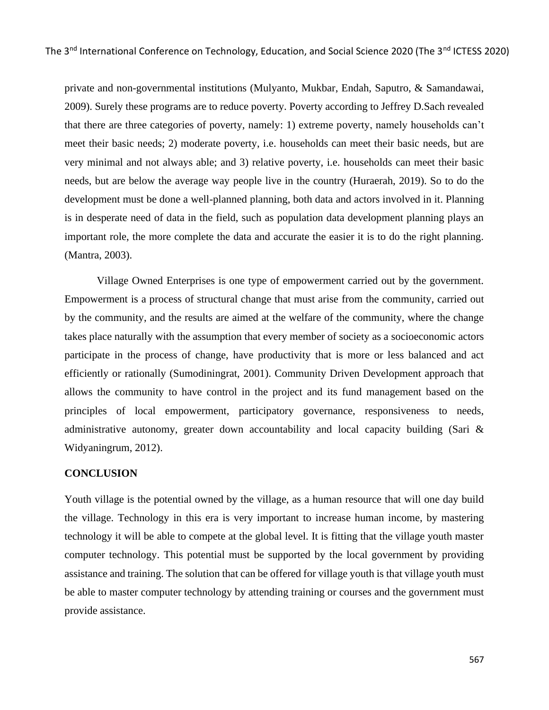private and non-governmental institutions (Mulyanto, Mukbar, Endah, Saputro, & Samandawai, 2009). Surely these programs are to reduce poverty. Poverty according to Jeffrey D.Sach revealed that there are three categories of poverty, namely: 1) extreme poverty, namely households can't meet their basic needs; 2) moderate poverty, i.e. households can meet their basic needs, but are very minimal and not always able; and 3) relative poverty, i.e. households can meet their basic needs, but are below the average way people live in the country (Huraerah, 2019). So to do the development must be done a well-planned planning, both data and actors involved in it. Planning is in desperate need of data in the field, such as population data development planning plays an important role, the more complete the data and accurate the easier it is to do the right planning. (Mantra, 2003).

Village Owned Enterprises is one type of empowerment carried out by the government. Empowerment is a process of structural change that must arise from the community, carried out by the community, and the results are aimed at the welfare of the community, where the change takes place naturally with the assumption that every member of society as a socioeconomic actors participate in the process of change, have productivity that is more or less balanced and act efficiently or rationally (Sumodiningrat, 2001). Community Driven Development approach that allows the community to have control in the project and its fund management based on the principles of local empowerment, participatory governance, responsiveness to needs, administrative autonomy, greater down accountability and local capacity building (Sari & Widyaningrum, 2012).

## **CONCLUSION**

Youth village is the potential owned by the village, as a human resource that will one day build the village. Technology in this era is very important to increase human income, by mastering technology it will be able to compete at the global level. It is fitting that the village youth master computer technology. This potential must be supported by the local government by providing assistance and training. The solution that can be offered for village youth is that village youth must be able to master computer technology by attending training or courses and the government must provide assistance.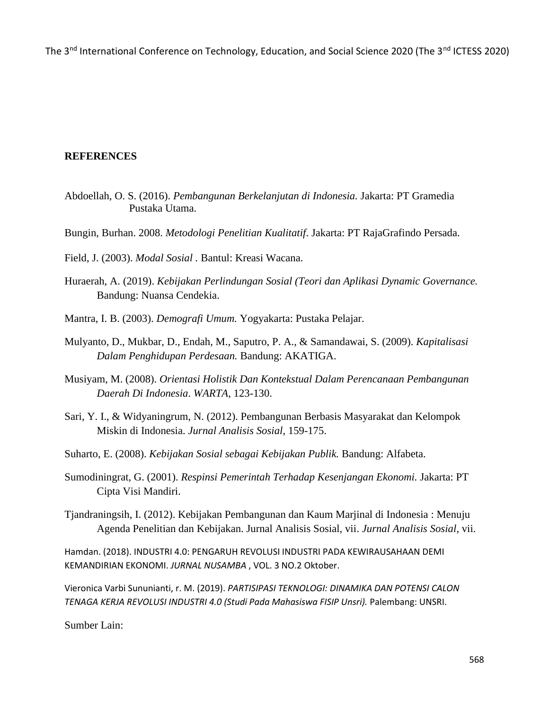The 3<sup>nd</sup> International Conference on Technology, Education, and Social Science 2020 (The 3<sup>nd</sup> ICTESS 2020)

### **REFERENCES**

- Abdoellah, O. S. (2016). *Pembangunan Berkelanjutan di Indonesia.* Jakarta: PT Gramedia Pustaka Utama.
- Bungin, Burhan. 2008. *Metodologi Penelitian Kualitatif*. Jakarta: PT RajaGrafindo Persada.

Field, J. (2003). *Modal Sosial .* Bantul: Kreasi Wacana.

- Huraerah, A. (2019). *Kebijakan Perlindungan Sosial (Teori dan Aplikasi Dynamic Governance.* Bandung: Nuansa Cendekia.
- Mantra, I. B. (2003). *Demografi Umum.* Yogyakarta: Pustaka Pelajar.
- Mulyanto, D., Mukbar, D., Endah, M., Saputro, P. A., & Samandawai, S. (2009). *Kapitalisasi Dalam Penghidupan Perdesaan.* Bandung: AKATIGA.
- Musiyam, M. (2008). *Orientasi Holistik Dan Kontekstual Dalam Perencanaan Pembangunan Daerah Di Indonesia*. *WARTA*, 123-130.
- Sari, Y. I., & Widyaningrum, N. (2012). Pembangunan Berbasis Masyarakat dan Kelompok Miskin di Indonesia. *Jurnal Analisis Sosial*, 159-175.
- Suharto, E. (2008). *Kebijakan Sosial sebagai Kebijakan Publik.* Bandung: Alfabeta.
- Sumodiningrat, G. (2001). *Respinsi Pemerintah Terhadap Kesenjangan Ekonomi.* Jakarta: PT Cipta Visi Mandiri.
- Tjandraningsih, I. (2012). Kebijakan Pembangunan dan Kaum Marjinal di Indonesia : Menuju Agenda Penelitian dan Kebijakan. Jurnal Analisis Sosial, vii. *Jurnal Analisis Sosial*, vii.

Hamdan. (2018). INDUSTRI 4.0: PENGARUH REVOLUSI INDUSTRI PADA KEWIRAUSAHAAN DEMI KEMANDIRIAN EKONOMI. *JURNAL NUSAMBA* , VOL. 3 NO.2 Oktober.

Vieronica Varbi Sununianti, r. M. (2019). *PARTISIPASI TEKNOLOGI: DINAMIKA DAN POTENSI CALON TENAGA KERJA REVOLUSI INDUSTRI 4.0 (Studi Pada Mahasiswa FISIP Unsri).* Palembang: UNSRI.

Sumber Lain: